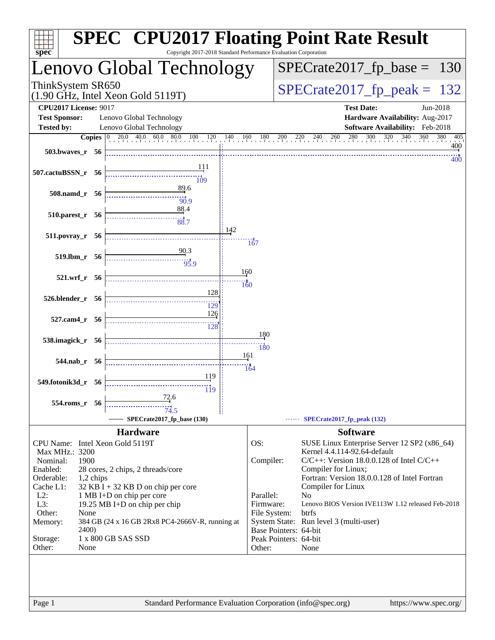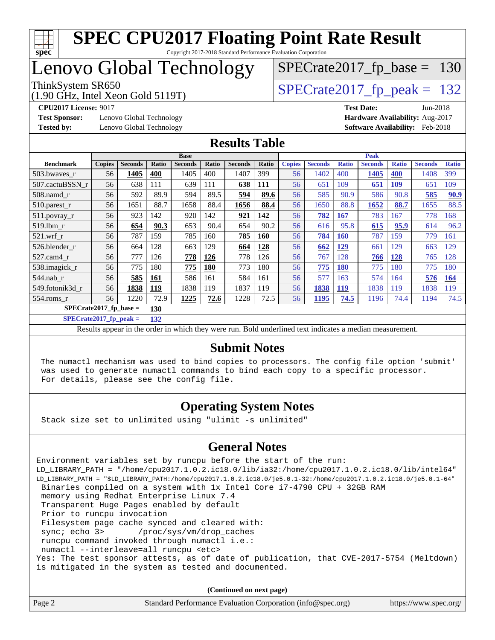

Copyright 2017-2018 Standard Performance Evaluation Corporation

## Lenovo Global Technology

# ThinkSystem SR650<br>(1.90 GHz, Intel Xeon Gold 5119T)  $SPECrate2017_fp\_peak = 132$

[SPECrate2017\\_fp\\_base =](http://www.spec.org/auto/cpu2017/Docs/result-fields.html#SPECrate2017fpbase) 130

(1.90 GHz, Intel Xeon Gold 5119T)

**[Test Sponsor:](http://www.spec.org/auto/cpu2017/Docs/result-fields.html#TestSponsor)** Lenovo Global Technology **[Hardware Availability:](http://www.spec.org/auto/cpu2017/Docs/result-fields.html#HardwareAvailability)** Aug-2017

**[CPU2017 License:](http://www.spec.org/auto/cpu2017/Docs/result-fields.html#CPU2017License)** 9017 **[Test Date:](http://www.spec.org/auto/cpu2017/Docs/result-fields.html#TestDate)** Jun-2018 **[Tested by:](http://www.spec.org/auto/cpu2017/Docs/result-fields.html#Testedby)** Lenovo Global Technology **[Software Availability:](http://www.spec.org/auto/cpu2017/Docs/result-fields.html#SoftwareAvailability)** Feb-2018

#### **[Results Table](http://www.spec.org/auto/cpu2017/Docs/result-fields.html#ResultsTable)**

|                               | <b>Base</b>   |                |       |                | <b>Peak</b> |                |            |               |                |              |                |              |                |              |
|-------------------------------|---------------|----------------|-------|----------------|-------------|----------------|------------|---------------|----------------|--------------|----------------|--------------|----------------|--------------|
| <b>Benchmark</b>              | <b>Copies</b> | <b>Seconds</b> | Ratio | <b>Seconds</b> | Ratio       | <b>Seconds</b> | Ratio      | <b>Copies</b> | <b>Seconds</b> | <b>Ratio</b> | <b>Seconds</b> | <b>Ratio</b> | <b>Seconds</b> | <b>Ratio</b> |
| 503.bwaves_r                  | 56            | 1405           | 400   | 1405           | 400         | 1407           | 399        | 56            | 1402           | 400          | 1405           | <b>400</b>   | 1408           | 399          |
| 507.cactuBSSN r               | 56            | 638            | 111   | 639            | 111         | 638            | <u>111</u> | 56            | 651            | 109          | 651            | <u>109</u>   | 651            | 109          |
| 508.namd_r                    | 56            | 592            | 89.9  | 594            | 89.5        | 594            | 89.6       | 56            | 585            | 90.9         | 586            | 90.8         | 585            | 90.9         |
| 510.parest_r                  | 56            | 1651           | 88.7  | 1658           | 88.4        | 1656           | 88.4       | 56            | 1650           | 88.8         | 1652           | 88.7         | 1655           | 88.5         |
| 511.povray_r                  | 56            | 923            | 142   | 920            | 142         | 921            | 142        | 56            | 782            | <b>167</b>   | 783            | 167          | 778            | 168          |
| 519.lbm r                     | 56            | 654            | 90.3  | 653            | 90.4        | 654            | 90.2       | 56            | 616            | 95.8         | 615            | 95.9         | 614            | 96.2         |
| $521$ .wrf r                  | 56            | 787            | 159   | 785            | 160         | 785            | 160        | 56            | 784            | <b>160</b>   | 787            | 159          | 779            | 161          |
| 526.blender r                 | 56            | 664            | 128   | 663            | 129         | 664            | 128        | 56            | 662            | <u>129</u>   | 661            | 129          | 663            | 129          |
| $527$ .cam $4r$               | 56            | 777            | 126   | 778            | 126         | 778            | 126        | 56            | 767            | 128          | 766            | 128          | 765            | 128          |
| 538.imagick_r                 | 56            | 775            | 180   | 775            | <b>180</b>  | 773            | 180        | 56            | 775            | <b>180</b>   | 775            | 180          | 775            | 180          |
| $544$ .nab r                  | 56            | 585            | 161   | 586            | 161         | 584            | 161        | 56            | 577            | 163          | 574            | 164          | 576            | <b>164</b>   |
| 549.fotonik3d_r               | 56            | 1838           | 119   | 1838           | 119         | 1837           | 119        | 56            | 1838           | <u>119</u>   | 1838           | 119          | 1838           | 119          |
| $554$ .roms $r$               | 56            | 1220           | 72.9  | 1225           | 72.6        | 1228           | 72.5       | 56            | 1195           | 74.5         | 1196           | 74.4         | 1194           | 74.5         |
| SPECrate2017_fp_base =<br>130 |               |                |       |                |             |                |            |               |                |              |                |              |                |              |

**[SPECrate2017\\_fp\\_peak =](http://www.spec.org/auto/cpu2017/Docs/result-fields.html#SPECrate2017fppeak) 132**

Results appear in the [order in which they were run.](http://www.spec.org/auto/cpu2017/Docs/result-fields.html#RunOrder) Bold underlined text [indicates a median measurement.](http://www.spec.org/auto/cpu2017/Docs/result-fields.html#Median)

#### **[Submit Notes](http://www.spec.org/auto/cpu2017/Docs/result-fields.html#SubmitNotes)**

 The numactl mechanism was used to bind copies to processors. The config file option 'submit' was used to generate numactl commands to bind each copy to a specific processor. For details, please see the config file.

#### **[Operating System Notes](http://www.spec.org/auto/cpu2017/Docs/result-fields.html#OperatingSystemNotes)**

Stack size set to unlimited using "ulimit -s unlimited"

#### **[General Notes](http://www.spec.org/auto/cpu2017/Docs/result-fields.html#GeneralNotes)**

Environment variables set by runcpu before the start of the run: LD\_LIBRARY\_PATH = "/home/cpu2017.1.0.2.ic18.0/lib/ia32:/home/cpu2017.1.0.2.ic18.0/lib/intel64" LD\_LIBRARY\_PATH = "\$LD\_LIBRARY\_PATH:/home/cpu2017.1.0.2.ic18.0/je5.0.1-32:/home/cpu2017.1.0.2.ic18.0/je5.0.1-64" Binaries compiled on a system with 1x Intel Core i7-4790 CPU + 32GB RAM memory using Redhat Enterprise Linux 7.4 Transparent Huge Pages enabled by default Prior to runcpu invocation Filesystem page cache synced and cleared with: sync; echo 3> /proc/sys/vm/drop\_caches runcpu command invoked through numactl i.e.: numactl --interleave=all runcpu <etc> Yes: The test sponsor attests, as of date of publication, that CVE-2017-5754 (Meltdown) is mitigated in the system as tested and documented.

**(Continued on next page)**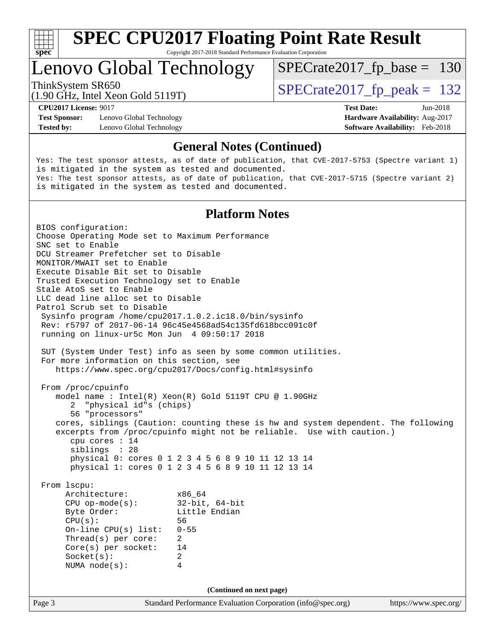

Copyright 2017-2018 Standard Performance Evaluation Corporation

## Lenovo Global Technology

ThinkSystem SR650<br>(1.90 GHz, Intel Year Gold 5119T)  $SPECTate2017$  [p\_peak = 132

[SPECrate2017\\_fp\\_base =](http://www.spec.org/auto/cpu2017/Docs/result-fields.html#SPECrate2017fpbase) 130

(1.90 GHz, Intel Xeon Gold 5119T)

**[Test Sponsor:](http://www.spec.org/auto/cpu2017/Docs/result-fields.html#TestSponsor)** Lenovo Global Technology **[Hardware Availability:](http://www.spec.org/auto/cpu2017/Docs/result-fields.html#HardwareAvailability)** Aug-2017 **[Tested by:](http://www.spec.org/auto/cpu2017/Docs/result-fields.html#Testedby)** Lenovo Global Technology **[Software Availability:](http://www.spec.org/auto/cpu2017/Docs/result-fields.html#SoftwareAvailability)** Feb-2018

**[CPU2017 License:](http://www.spec.org/auto/cpu2017/Docs/result-fields.html#CPU2017License)** 9017 **[Test Date:](http://www.spec.org/auto/cpu2017/Docs/result-fields.html#TestDate)** Jun-2018

#### **[General Notes \(Continued\)](http://www.spec.org/auto/cpu2017/Docs/result-fields.html#GeneralNotes)**

Yes: The test sponsor attests, as of date of publication, that CVE-2017-5753 (Spectre variant 1) is mitigated in the system as tested and documented. Yes: The test sponsor attests, as of date of publication, that CVE-2017-5715 (Spectre variant 2) is mitigated in the system as tested and documented.

#### **[Platform Notes](http://www.spec.org/auto/cpu2017/Docs/result-fields.html#PlatformNotes)**

Page 3 Standard Performance Evaluation Corporation [\(info@spec.org\)](mailto:info@spec.org) <https://www.spec.org/> BIOS configuration: Choose Operating Mode set to Maximum Performance SNC set to Enable DCU Streamer Prefetcher set to Disable MONITOR/MWAIT set to Enable Execute Disable Bit set to Disable Trusted Execution Technology set to Enable Stale AtoS set to Enable LLC dead line alloc set to Disable Patrol Scrub set to Disable Sysinfo program /home/cpu2017.1.0.2.ic18.0/bin/sysinfo Rev: r5797 of 2017-06-14 96c45e4568ad54c135fd618bcc091c0f running on linux-ur5c Mon Jun 4 09:50:17 2018 SUT (System Under Test) info as seen by some common utilities. For more information on this section, see <https://www.spec.org/cpu2017/Docs/config.html#sysinfo> From /proc/cpuinfo model name : Intel(R) Xeon(R) Gold 5119T CPU @ 1.90GHz 2 "physical id"s (chips) 56 "processors" cores, siblings (Caution: counting these is hw and system dependent. The following excerpts from /proc/cpuinfo might not be reliable. Use with caution.) cpu cores : 14 siblings : 28 physical 0: cores 0 1 2 3 4 5 6 8 9 10 11 12 13 14 physical 1: cores 0 1 2 3 4 5 6 8 9 10 11 12 13 14 From lscpu: Architecture: x86\_64 CPU op-mode(s): 32-bit, 64-bit Little Endian CPU(s): 56 On-line CPU(s) list: 0-55 Thread(s) per core: 2 Core(s) per socket: 14 Socket(s): 2 NUMA node(s): 4 **(Continued on next page)**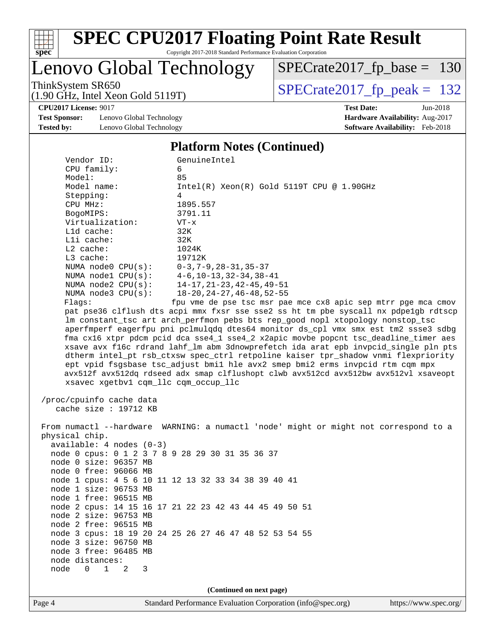

# Lenovo Global Technology

ThinkSystem SR650<br>(1.90 GHz, Intel Xeon Gold 5119T)  $\begin{array}{|l|l|}\n\hline\n\text{SPECrate2017\_fp\_peak} = 132\n\end{array}$ [SPECrate2017\\_fp\\_base =](http://www.spec.org/auto/cpu2017/Docs/result-fields.html#SPECrate2017fpbase) 130

(1.90 GHz, Intel Xeon Gold 5119T)

**[CPU2017 License:](http://www.spec.org/auto/cpu2017/Docs/result-fields.html#CPU2017License)** 9017 **[Test Date:](http://www.spec.org/auto/cpu2017/Docs/result-fields.html#TestDate)** Jun-2018

**[Test Sponsor:](http://www.spec.org/auto/cpu2017/Docs/result-fields.html#TestSponsor)** Lenovo Global Technology **[Hardware Availability:](http://www.spec.org/auto/cpu2017/Docs/result-fields.html#HardwareAvailability)** Aug-2017 [Tested by:](http://www.spec.org/auto/cpu2017/Docs/result-fields.html#Testedby) Lenovo Global Technology **[Software Availability:](http://www.spec.org/auto/cpu2017/Docs/result-fields.html#SoftwareAvailability)** Feb-2018

#### **[Platform Notes \(Continued\)](http://www.spec.org/auto/cpu2017/Docs/result-fields.html#PlatformNotes)**

| Vendor ID:                                          | GenuineIntel                                                                         |
|-----------------------------------------------------|--------------------------------------------------------------------------------------|
| CPU family:                                         | 6                                                                                    |
| Model:                                              | 85                                                                                   |
| Model name:                                         | $Intel(R)$ Xeon $(R)$ Gold 5119T CPU @ 1.90GHz                                       |
| Stepping:                                           | 4                                                                                    |
| CPU MHz:                                            | 1895.557                                                                             |
| BogoMIPS:                                           | 3791.11                                                                              |
| Virtualization:                                     | $VT - x$                                                                             |
| L1d cache:                                          | 32K                                                                                  |
| Lli cache:                                          | 32K                                                                                  |
| $L2$ cache:                                         | 1024K                                                                                |
| $L3$ cache:                                         | 19712K                                                                               |
| NUMA node0 CPU(s): 0-3,7-9,28-31,35-37              |                                                                                      |
|                                                     | NUMA node1 CPU(s): 4-6,10-13,32-34,38-41                                             |
| NUMA $node2$ $CPU(s)$ :                             | $14 - 17, 21 - 23, 42 - 45, 49 - 51$                                                 |
| NUMA $node3$ $CPU(s):$                              | 18-20, 24-27, 46-48, 52-55                                                           |
| Flags:                                              | fpu vme de pse tsc msr pae mce cx8 apic sep mtrr pge mca cmov                        |
|                                                     | pat pse36 clflush dts acpi mmx fxsr sse sse2 ss ht tm pbe syscall nx pdpe1gb rdtscp  |
|                                                     | lm constant_tsc art arch_perfmon pebs bts rep_good nopl xtopology nonstop_tsc        |
|                                                     | aperfmperf eagerfpu pni pclmulqdq dtes64 monitor ds_cpl vmx smx est tm2 ssse3 sdbg   |
|                                                     | fma cx16 xtpr pdcm pcid dca sse4_1 sse4_2 x2apic movbe popcnt tsc_deadline_timer aes |
|                                                     | xsave avx f16c rdrand lahf_lm abm 3dnowprefetch ida arat epb invpcid_single pln pts  |
|                                                     | dtherm intel_pt rsb_ctxsw spec_ctrl retpoline kaiser tpr_shadow vnmi flexpriority    |
|                                                     | ept vpid fsgsbase tsc_adjust bmil hle avx2 smep bmi2 erms invpcid rtm cqm mpx        |
|                                                     | avx512f avx512dq rdseed adx smap clflushopt clwb avx512cd avx512bw avx512vl xsaveopt |
| xsavec xgetbvl cqm_llc cqm_occup_llc                |                                                                                      |
|                                                     |                                                                                      |
| /proc/cpuinfo cache data<br>cache size : $19712$ KB |                                                                                      |
|                                                     |                                                                                      |
|                                                     | From numactl --hardware WARNING: a numactl 'node' might or might not correspond to a |
| physical chip.                                      |                                                                                      |
| $available: 4 nodes (0-3)$                          |                                                                                      |
| node 0 cpus: 0 1 2 3 7 8 9 28 29 30 31 35 36 37     |                                                                                      |
| node 0 size: 96357 MB                               |                                                                                      |
| node 0 free: 96066 MB                               |                                                                                      |
|                                                     | node 1 cpus: 4 5 6 10 11 12 13 32 33 34 38 39 40 41                                  |
| node 1 size: 96753 MB                               |                                                                                      |
|                                                     |                                                                                      |

node 1 free: 96515 MB

 node 2 size: 96753 MB node 2 free: 96515 MB

 node 3 size: 96750 MB node 3 free: 96485 MB

 node distances: node 0 1 2 3

node 2 cpus: 14 15 16 17 21 22 23 42 43 44 45 49 50 51

node 3 cpus: 18 19 20 24 25 26 27 46 47 48 52 53 54 55

Page 4 Standard Performance Evaluation Corporation [\(info@spec.org\)](mailto:info@spec.org) <https://www.spec.org/> **(Continued on next page)**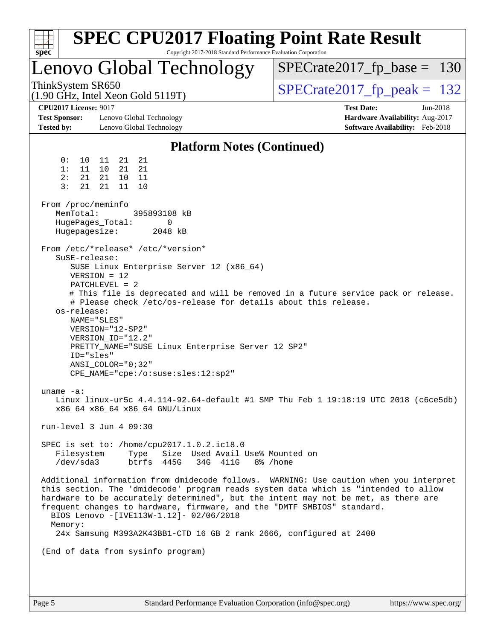| spec <sup>®</sup>                                                                                                                                                                                                      |                                                                                                                                                               |                                                                                            | Copyright 2017-2018 Standard Performance Evaluation Corporation                                     | <b>SPEC CPU2017 Floating Point Rate Result</b>                                                                                                                                                                                                                                                                                                                                                                       |                                                                                         |          |
|------------------------------------------------------------------------------------------------------------------------------------------------------------------------------------------------------------------------|---------------------------------------------------------------------------------------------------------------------------------------------------------------|--------------------------------------------------------------------------------------------|-----------------------------------------------------------------------------------------------------|----------------------------------------------------------------------------------------------------------------------------------------------------------------------------------------------------------------------------------------------------------------------------------------------------------------------------------------------------------------------------------------------------------------------|-----------------------------------------------------------------------------------------|----------|
|                                                                                                                                                                                                                        |                                                                                                                                                               |                                                                                            | Lenovo Global Technology                                                                            |                                                                                                                                                                                                                                                                                                                                                                                                                      | $SPECrate2017_fp\_base = 130$                                                           |          |
| ThinkSystem SR650<br>(1.90 GHz, Intel Xeon Gold 5119T)                                                                                                                                                                 |                                                                                                                                                               |                                                                                            |                                                                                                     |                                                                                                                                                                                                                                                                                                                                                                                                                      | $SPECrate2017_fp\_peak = 132$                                                           |          |
| <b>CPU2017 License: 9017</b><br><b>Test Sponsor:</b><br><b>Tested by:</b>                                                                                                                                              |                                                                                                                                                               | Lenovo Global Technology<br>Lenovo Global Technology                                       |                                                                                                     |                                                                                                                                                                                                                                                                                                                                                                                                                      | <b>Test Date:</b><br>Hardware Availability: Aug-2017<br>Software Availability: Feb-2018 | Jun-2018 |
|                                                                                                                                                                                                                        |                                                                                                                                                               |                                                                                            | <b>Platform Notes (Continued)</b>                                                                   |                                                                                                                                                                                                                                                                                                                                                                                                                      |                                                                                         |          |
| 0:<br>10<br>1:<br>11<br>2:<br>21<br>3:<br>21<br>From /proc/meminfo<br>MemTotal:<br>HugePages_Total:<br>Hugepagesize:<br>From /etc/*release* /etc/*version*<br>SuSE-release:<br>os-release:<br>NAME="SLES"<br>ID="sles" | 21<br>11<br>21<br>10<br>10 <sup>1</sup><br>21<br>21<br>11<br>$VERSION = 12$<br>$PATCHLEVEL = 2$<br>VERSION="12-SP2"<br>VERSION ID="12.2"<br>ANSI COLOR="0;32" | 21<br>21<br>11<br>10<br>395893108 kB<br>0<br>2048 kB<br>CPE_NAME="cpe:/o:suse:sles:12:sp2" | SUSE Linux Enterprise Server 12 (x86_64)<br>PRETTY_NAME="SUSE Linux Enterprise Server 12 SP2"       | # This file is deprecated and will be removed in a future service pack or release.<br># Please check /etc/os-release for details about this release.                                                                                                                                                                                                                                                                 |                                                                                         |          |
| uname -a:                                                                                                                                                                                                              |                                                                                                                                                               | x86_64 x86_64 x86_64 GNU/Linux                                                             |                                                                                                     | Linux linux-ur5c 4.4.114-92.64-default #1 SMP Thu Feb 1 19:18:19 UTC 2018 (c6ce5db)                                                                                                                                                                                                                                                                                                                                  |                                                                                         |          |
| run-level 3 Jun 4 09:30                                                                                                                                                                                                |                                                                                                                                                               |                                                                                            |                                                                                                     |                                                                                                                                                                                                                                                                                                                                                                                                                      |                                                                                         |          |
| Filesystem<br>/dev/sda3                                                                                                                                                                                                |                                                                                                                                                               | Type<br>btrfs 445G                                                                         | SPEC is set to: /home/cpu2017.1.0.2.ic18.0<br>Size Used Avail Use% Mounted on<br>34G 411G 8% / home |                                                                                                                                                                                                                                                                                                                                                                                                                      |                                                                                         |          |
| Memory:                                                                                                                                                                                                                |                                                                                                                                                               |                                                                                            | BIOS Lenovo -[IVE113W-1.12]- 02/06/2018                                                             | Additional information from dmidecode follows. WARNING: Use caution when you interpret<br>this section. The 'dmidecode' program reads system data which is "intended to allow<br>hardware to be accurately determined", but the intent may not be met, as there are<br>frequent changes to hardware, firmware, and the "DMTF SMBIOS" standard.<br>24x Samsung M393A2K43BB1-CTD 16 GB 2 rank 2666, configured at 2400 |                                                                                         |          |
| (End of data from sysinfo program)                                                                                                                                                                                     |                                                                                                                                                               |                                                                                            |                                                                                                     |                                                                                                                                                                                                                                                                                                                                                                                                                      |                                                                                         |          |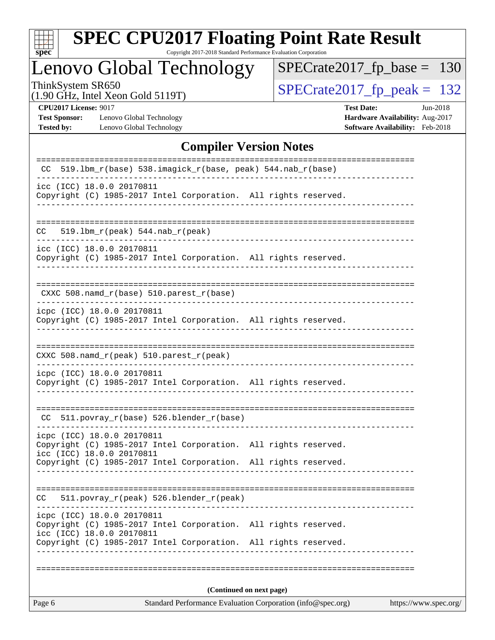| S.<br>Ľ<br>U<br>ċ<br>C |  |  |  |  |  |  |  |  |
|------------------------|--|--|--|--|--|--|--|--|

Copyright 2017-2018 Standard Performance Evaluation Corporation

# Lenovo Global Technology

ThinkSystem SR650<br>(1.90 GHz, Intel Xeon Gold 5119T) [SPECrate2017\\_fp\\_peak =](http://www.spec.org/auto/cpu2017/Docs/result-fields.html#SPECrate2017fppeak) 132 [SPECrate2017\\_fp\\_base =](http://www.spec.org/auto/cpu2017/Docs/result-fields.html#SPECrate2017fpbase) 130

(1.90 GHz, Intel Xeon Gold 5119T)

**[CPU2017 License:](http://www.spec.org/auto/cpu2017/Docs/result-fields.html#CPU2017License)** 9017 **[Test Date:](http://www.spec.org/auto/cpu2017/Docs/result-fields.html#TestDate)** Jun-2018 **[Test Sponsor:](http://www.spec.org/auto/cpu2017/Docs/result-fields.html#TestSponsor)** Lenovo Global Technology **[Hardware Availability:](http://www.spec.org/auto/cpu2017/Docs/result-fields.html#HardwareAvailability)** Aug-2017 **[Tested by:](http://www.spec.org/auto/cpu2017/Docs/result-fields.html#Testedby)** Lenovo Global Technology **[Software Availability:](http://www.spec.org/auto/cpu2017/Docs/result-fields.html#SoftwareAvailability)** Feb-2018

#### **[Compiler Version Notes](http://www.spec.org/auto/cpu2017/Docs/result-fields.html#CompilerVersionNotes)**

|                                                                                                                            | (Continued on next page) |  |
|----------------------------------------------------------------------------------------------------------------------------|--------------------------|--|
|                                                                                                                            |                          |  |
| icc (ICC) 18.0.0 20170811<br>Copyright (C) 1985-2017 Intel Corporation.                                                    | All rights reserved.     |  |
| icpc (ICC) 18.0.0 20170811<br>Copyright (C) 1985-2017 Intel Corporation.                                                   | All rights reserved.     |  |
| 511.povray_r(peak) 526.blender_r(peak)<br>CC.                                                                              |                          |  |
| Copyright (C) 1985-2017 Intel Corporation. All rights reserved.                                                            |                          |  |
| icpc (ICC) 18.0.0 20170811<br>Copyright (C) 1985-2017 Intel Corporation. All rights reserved.<br>icc (ICC) 18.0.0 20170811 |                          |  |
| 511.povray_r(base) 526.blender_r(base)<br>CC.                                                                              |                          |  |
| icpc (ICC) 18.0.0 20170811<br>Copyright (C) 1985-2017 Intel Corporation. All rights reserved.                              |                          |  |
| CXXC 508.namd_r(peak) 510.parest_r(peak)                                                                                   | ---------------          |  |
| icpc (ICC) 18.0.0 20170811<br>Copyright (C) 1985-2017 Intel Corporation. All rights reserved.                              |                          |  |
| $CXXC 508.namd_r(base) 510.parest_r(base)$                                                                                 |                          |  |
| icc (ICC) 18.0.0 20170811<br>Copyright (C) 1985-2017 Intel Corporation. All rights reserved.                               |                          |  |
| $519.1bm_r(peak) 544.nab_r(peak)$<br>CC.                                                                                   |                          |  |
| icc (ICC) 18.0.0 20170811<br>Copyright (C) 1985-2017 Intel Corporation. All rights reserved.                               |                          |  |
| 519.1bm_r(base) 538.imagick_r(base, peak) 544.nab_r(base)<br>CC.                                                           |                          |  |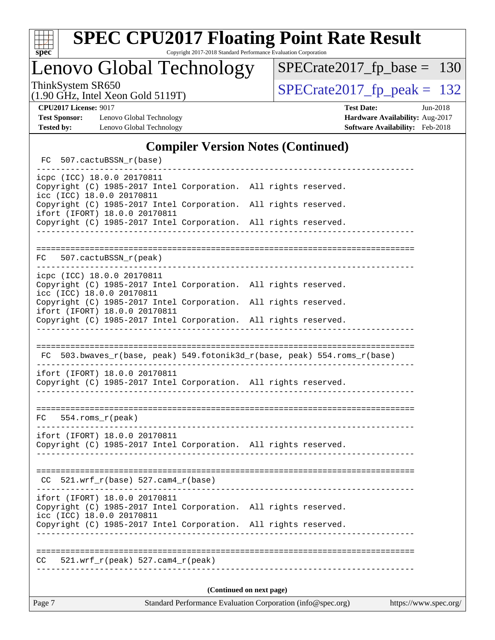

Copyright 2017-2018 Standard Performance Evaluation Corporation

Lenovo Global Technology

ThinkSystem SR650<br>(1.90 GHz, Intel Xeon Gold 5119T) [SPECrate2017\\_fp\\_peak =](http://www.spec.org/auto/cpu2017/Docs/result-fields.html#SPECrate2017fppeak) 132 [SPECrate2017\\_fp\\_base =](http://www.spec.org/auto/cpu2017/Docs/result-fields.html#SPECrate2017fpbase) 130

(1.90 GHz, Intel Xeon Gold 5119T)

**[Test Sponsor:](http://www.spec.org/auto/cpu2017/Docs/result-fields.html#TestSponsor)** Lenovo Global Technology **[Hardware Availability:](http://www.spec.org/auto/cpu2017/Docs/result-fields.html#HardwareAvailability)** Aug-2017 **[Tested by:](http://www.spec.org/auto/cpu2017/Docs/result-fields.html#Testedby)** Lenovo Global Technology **[Software Availability:](http://www.spec.org/auto/cpu2017/Docs/result-fields.html#SoftwareAvailability)** Feb-2018

**[CPU2017 License:](http://www.spec.org/auto/cpu2017/Docs/result-fields.html#CPU2017License)** 9017 **[Test Date:](http://www.spec.org/auto/cpu2017/Docs/result-fields.html#TestDate)** Jun-2018

#### **[Compiler Version Notes \(Continued\)](http://www.spec.org/auto/cpu2017/Docs/result-fields.html#CompilerVersionNotes)**

| FC 507.cactuBSSN_r(base)                                                                                                      |                                                                                                                   |                                                                          |
|-------------------------------------------------------------------------------------------------------------------------------|-------------------------------------------------------------------------------------------------------------------|--------------------------------------------------------------------------|
| icpc (ICC) 18.0.0 20170811<br>Copyright (C) 1985-2017 Intel Corporation. All rights reserved.<br>icc (ICC) 18.0.0 20170811    |                                                                                                                   |                                                                          |
| Copyright (C) 1985-2017 Intel Corporation.<br>ifort (IFORT) 18.0.0 20170811                                                   |                                                                                                                   | All rights reserved.                                                     |
| Copyright (C) 1985-2017 Intel Corporation. All rights reserved.                                                               |                                                                                                                   |                                                                          |
|                                                                                                                               |                                                                                                                   |                                                                          |
| FC 507.cactuBSSN_r(peak)                                                                                                      |                                                                                                                   |                                                                          |
| icpc (ICC) 18.0.0 20170811<br>Copyright (C) 1985-2017 Intel Corporation. All rights reserved.<br>icc (ICC) 18.0.0 20170811    |                                                                                                                   |                                                                          |
| Copyright (C) 1985-2017 Intel Corporation. All rights reserved.<br>ifort (IFORT) 18.0.0 20170811                              |                                                                                                                   |                                                                          |
| Copyright (C) 1985-2017 Intel Corporation. All rights reserved.                                                               | __________________________                                                                                        |                                                                          |
|                                                                                                                               |                                                                                                                   |                                                                          |
|                                                                                                                               |                                                                                                                   | FC 503.bwaves_r(base, peak) 549.fotonik3d_r(base, peak) 554.roms_r(base) |
| ifort (IFORT) 18.0.0 20170811<br>Copyright (C) 1985-2017 Intel Corporation. All rights reserved.                              | ----------------                                                                                                  |                                                                          |
|                                                                                                                               |                                                                                                                   |                                                                          |
| $FC$ 554. roms $r$ (peak)                                                                                                     |                                                                                                                   |                                                                          |
| ifort (IFORT) 18.0.0 20170811<br>Copyright (C) 1985-2017 Intel Corporation. All rights reserved.                              |                                                                                                                   |                                                                          |
|                                                                                                                               |                                                                                                                   |                                                                          |
| $CC$ 521.wrf_r(base) 527.cam4_r(base)                                                                                         | <u> Liberal Liberal Component Component Component Component Component Component Component Component Component</u> |                                                                          |
| ifort (IFORT) 18.0.0 20170811<br>Copyright (C) 1985-2017 Intel Corporation. All rights reserved.<br>icc (ICC) 18.0.0 20170811 |                                                                                                                   |                                                                          |
| Copyright (C) 1985-2017 Intel Corporation. All rights reserved.                                                               |                                                                                                                   |                                                                          |
| $521.wrf_r(peak) 527.cam4_r(peak)$<br>CC.                                                                                     |                                                                                                                   |                                                                          |
|                                                                                                                               |                                                                                                                   | (Continued on next page)                                                 |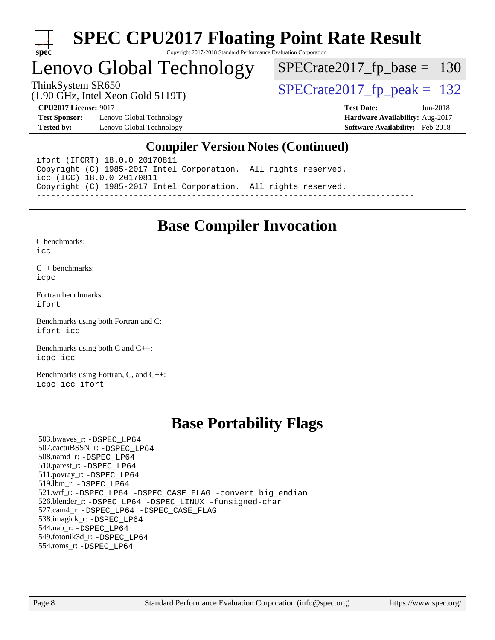

# Lenovo Global Technology

[SPECrate2017\\_fp\\_base =](http://www.spec.org/auto/cpu2017/Docs/result-fields.html#SPECrate2017fpbase) 130

(1.90 GHz, Intel Xeon Gold 5119T)

ThinkSystem SR650<br>(1.90 GHz, Intel Xeon Gold 5119T)  $SPECrate2017_fp\_peak = 132$ 

**[Test Sponsor:](http://www.spec.org/auto/cpu2017/Docs/result-fields.html#TestSponsor)** Lenovo Global Technology **[Hardware Availability:](http://www.spec.org/auto/cpu2017/Docs/result-fields.html#HardwareAvailability)** Aug-2017 **[Tested by:](http://www.spec.org/auto/cpu2017/Docs/result-fields.html#Testedby)** Lenovo Global Technology **[Software Availability:](http://www.spec.org/auto/cpu2017/Docs/result-fields.html#SoftwareAvailability)** Feb-2018

**[CPU2017 License:](http://www.spec.org/auto/cpu2017/Docs/result-fields.html#CPU2017License)** 9017 **[Test Date:](http://www.spec.org/auto/cpu2017/Docs/result-fields.html#TestDate)** Jun-2018

#### **[Compiler Version Notes \(Continued\)](http://www.spec.org/auto/cpu2017/Docs/result-fields.html#CompilerVersionNotes)**

ifort (IFORT) 18.0.0 20170811 Copyright (C) 1985-2017 Intel Corporation. All rights reserved. icc (ICC) 18.0.0 20170811 Copyright (C) 1985-2017 Intel Corporation. All rights reserved. ------------------------------------------------------------------------------

### **[Base Compiler Invocation](http://www.spec.org/auto/cpu2017/Docs/result-fields.html#BaseCompilerInvocation)**

[C benchmarks](http://www.spec.org/auto/cpu2017/Docs/result-fields.html#Cbenchmarks):  $i$ cc

[C++ benchmarks:](http://www.spec.org/auto/cpu2017/Docs/result-fields.html#CXXbenchmarks) [icpc](http://www.spec.org/cpu2017/results/res2018q2/cpu2017-20180612-06898.flags.html#user_CXXbase_intel_icpc_18.0_c510b6838c7f56d33e37e94d029a35b4a7bccf4766a728ee175e80a419847e808290a9b78be685c44ab727ea267ec2f070ec5dc83b407c0218cded6866a35d07)

[Fortran benchmarks](http://www.spec.org/auto/cpu2017/Docs/result-fields.html#Fortranbenchmarks): [ifort](http://www.spec.org/cpu2017/results/res2018q2/cpu2017-20180612-06898.flags.html#user_FCbase_intel_ifort_18.0_8111460550e3ca792625aed983ce982f94888b8b503583aa7ba2b8303487b4d8a21a13e7191a45c5fd58ff318f48f9492884d4413fa793fd88dd292cad7027ca)

[Benchmarks using both Fortran and C](http://www.spec.org/auto/cpu2017/Docs/result-fields.html#BenchmarksusingbothFortranandC): [ifort](http://www.spec.org/cpu2017/results/res2018q2/cpu2017-20180612-06898.flags.html#user_CC_FCbase_intel_ifort_18.0_8111460550e3ca792625aed983ce982f94888b8b503583aa7ba2b8303487b4d8a21a13e7191a45c5fd58ff318f48f9492884d4413fa793fd88dd292cad7027ca) [icc](http://www.spec.org/cpu2017/results/res2018q2/cpu2017-20180612-06898.flags.html#user_CC_FCbase_intel_icc_18.0_66fc1ee009f7361af1fbd72ca7dcefbb700085f36577c54f309893dd4ec40d12360134090235512931783d35fd58c0460139e722d5067c5574d8eaf2b3e37e92)

[Benchmarks using both C and C++](http://www.spec.org/auto/cpu2017/Docs/result-fields.html#BenchmarksusingbothCandCXX): [icpc](http://www.spec.org/cpu2017/results/res2018q2/cpu2017-20180612-06898.flags.html#user_CC_CXXbase_intel_icpc_18.0_c510b6838c7f56d33e37e94d029a35b4a7bccf4766a728ee175e80a419847e808290a9b78be685c44ab727ea267ec2f070ec5dc83b407c0218cded6866a35d07) [icc](http://www.spec.org/cpu2017/results/res2018q2/cpu2017-20180612-06898.flags.html#user_CC_CXXbase_intel_icc_18.0_66fc1ee009f7361af1fbd72ca7dcefbb700085f36577c54f309893dd4ec40d12360134090235512931783d35fd58c0460139e722d5067c5574d8eaf2b3e37e92)

[Benchmarks using Fortran, C, and C++:](http://www.spec.org/auto/cpu2017/Docs/result-fields.html#BenchmarksusingFortranCandCXX) [icpc](http://www.spec.org/cpu2017/results/res2018q2/cpu2017-20180612-06898.flags.html#user_CC_CXX_FCbase_intel_icpc_18.0_c510b6838c7f56d33e37e94d029a35b4a7bccf4766a728ee175e80a419847e808290a9b78be685c44ab727ea267ec2f070ec5dc83b407c0218cded6866a35d07) [icc](http://www.spec.org/cpu2017/results/res2018q2/cpu2017-20180612-06898.flags.html#user_CC_CXX_FCbase_intel_icc_18.0_66fc1ee009f7361af1fbd72ca7dcefbb700085f36577c54f309893dd4ec40d12360134090235512931783d35fd58c0460139e722d5067c5574d8eaf2b3e37e92) [ifort](http://www.spec.org/cpu2017/results/res2018q2/cpu2017-20180612-06898.flags.html#user_CC_CXX_FCbase_intel_ifort_18.0_8111460550e3ca792625aed983ce982f94888b8b503583aa7ba2b8303487b4d8a21a13e7191a45c5fd58ff318f48f9492884d4413fa793fd88dd292cad7027ca)

### **[Base Portability Flags](http://www.spec.org/auto/cpu2017/Docs/result-fields.html#BasePortabilityFlags)**

 503.bwaves\_r: [-DSPEC\\_LP64](http://www.spec.org/cpu2017/results/res2018q2/cpu2017-20180612-06898.flags.html#suite_basePORTABILITY503_bwaves_r_DSPEC_LP64) 507.cactuBSSN\_r: [-DSPEC\\_LP64](http://www.spec.org/cpu2017/results/res2018q2/cpu2017-20180612-06898.flags.html#suite_basePORTABILITY507_cactuBSSN_r_DSPEC_LP64) 508.namd\_r: [-DSPEC\\_LP64](http://www.spec.org/cpu2017/results/res2018q2/cpu2017-20180612-06898.flags.html#suite_basePORTABILITY508_namd_r_DSPEC_LP64) 510.parest\_r: [-DSPEC\\_LP64](http://www.spec.org/cpu2017/results/res2018q2/cpu2017-20180612-06898.flags.html#suite_basePORTABILITY510_parest_r_DSPEC_LP64) 511.povray\_r: [-DSPEC\\_LP64](http://www.spec.org/cpu2017/results/res2018q2/cpu2017-20180612-06898.flags.html#suite_basePORTABILITY511_povray_r_DSPEC_LP64) 519.lbm\_r: [-DSPEC\\_LP64](http://www.spec.org/cpu2017/results/res2018q2/cpu2017-20180612-06898.flags.html#suite_basePORTABILITY519_lbm_r_DSPEC_LP64) 521.wrf\_r: [-DSPEC\\_LP64](http://www.spec.org/cpu2017/results/res2018q2/cpu2017-20180612-06898.flags.html#suite_basePORTABILITY521_wrf_r_DSPEC_LP64) [-DSPEC\\_CASE\\_FLAG](http://www.spec.org/cpu2017/results/res2018q2/cpu2017-20180612-06898.flags.html#b521.wrf_r_baseCPORTABILITY_DSPEC_CASE_FLAG) [-convert big\\_endian](http://www.spec.org/cpu2017/results/res2018q2/cpu2017-20180612-06898.flags.html#user_baseFPORTABILITY521_wrf_r_convert_big_endian_c3194028bc08c63ac5d04de18c48ce6d347e4e562e8892b8bdbdc0214820426deb8554edfa529a3fb25a586e65a3d812c835984020483e7e73212c4d31a38223) 526.blender\_r: [-DSPEC\\_LP64](http://www.spec.org/cpu2017/results/res2018q2/cpu2017-20180612-06898.flags.html#suite_basePORTABILITY526_blender_r_DSPEC_LP64) [-DSPEC\\_LINUX](http://www.spec.org/cpu2017/results/res2018q2/cpu2017-20180612-06898.flags.html#b526.blender_r_baseCPORTABILITY_DSPEC_LINUX) [-funsigned-char](http://www.spec.org/cpu2017/results/res2018q2/cpu2017-20180612-06898.flags.html#user_baseCPORTABILITY526_blender_r_force_uchar_40c60f00ab013830e2dd6774aeded3ff59883ba5a1fc5fc14077f794d777847726e2a5858cbc7672e36e1b067e7e5c1d9a74f7176df07886a243d7cc18edfe67) 527.cam4\_r: [-DSPEC\\_LP64](http://www.spec.org/cpu2017/results/res2018q2/cpu2017-20180612-06898.flags.html#suite_basePORTABILITY527_cam4_r_DSPEC_LP64) [-DSPEC\\_CASE\\_FLAG](http://www.spec.org/cpu2017/results/res2018q2/cpu2017-20180612-06898.flags.html#b527.cam4_r_baseCPORTABILITY_DSPEC_CASE_FLAG) 538.imagick\_r: [-DSPEC\\_LP64](http://www.spec.org/cpu2017/results/res2018q2/cpu2017-20180612-06898.flags.html#suite_basePORTABILITY538_imagick_r_DSPEC_LP64) 544.nab\_r: [-DSPEC\\_LP64](http://www.spec.org/cpu2017/results/res2018q2/cpu2017-20180612-06898.flags.html#suite_basePORTABILITY544_nab_r_DSPEC_LP64) 549.fotonik3d\_r: [-DSPEC\\_LP64](http://www.spec.org/cpu2017/results/res2018q2/cpu2017-20180612-06898.flags.html#suite_basePORTABILITY549_fotonik3d_r_DSPEC_LP64) 554.roms\_r: [-DSPEC\\_LP64](http://www.spec.org/cpu2017/results/res2018q2/cpu2017-20180612-06898.flags.html#suite_basePORTABILITY554_roms_r_DSPEC_LP64)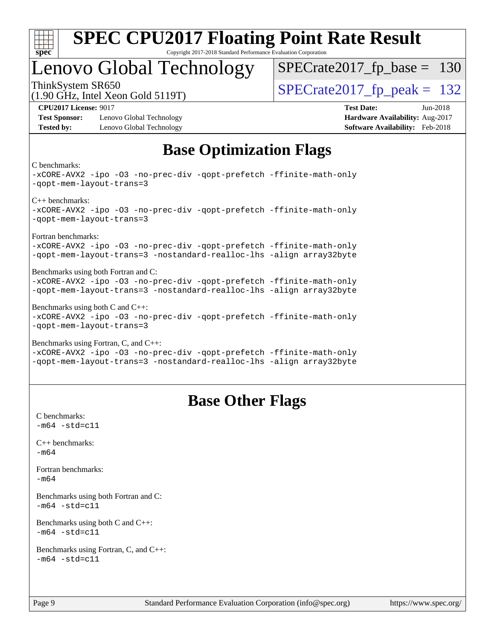

## Lenovo Global Technology

ThinkSystem SR650<br>(1.90 GHz, Intel Year Gold 5119T)  $SPECTate2017$  [p\_peak = 132 [SPECrate2017\\_fp\\_base =](http://www.spec.org/auto/cpu2017/Docs/result-fields.html#SPECrate2017fpbase) 130

(1.90 GHz, Intel Xeon Gold 5119T)

**[Test Sponsor:](http://www.spec.org/auto/cpu2017/Docs/result-fields.html#TestSponsor)** Lenovo Global Technology **[Hardware Availability:](http://www.spec.org/auto/cpu2017/Docs/result-fields.html#HardwareAvailability)** Aug-2017 **[Tested by:](http://www.spec.org/auto/cpu2017/Docs/result-fields.html#Testedby)** Lenovo Global Technology **[Software Availability:](http://www.spec.org/auto/cpu2017/Docs/result-fields.html#SoftwareAvailability)** Feb-2018

**[CPU2017 License:](http://www.spec.org/auto/cpu2017/Docs/result-fields.html#CPU2017License)** 9017 **[Test Date:](http://www.spec.org/auto/cpu2017/Docs/result-fields.html#TestDate)** Jun-2018

### **[Base Optimization Flags](http://www.spec.org/auto/cpu2017/Docs/result-fields.html#BaseOptimizationFlags)**

[C benchmarks:](http://www.spec.org/auto/cpu2017/Docs/result-fields.html#Cbenchmarks)

[-xCORE-AVX2](http://www.spec.org/cpu2017/results/res2018q2/cpu2017-20180612-06898.flags.html#user_CCbase_f-xCORE-AVX2) [-ipo](http://www.spec.org/cpu2017/results/res2018q2/cpu2017-20180612-06898.flags.html#user_CCbase_f-ipo) [-O3](http://www.spec.org/cpu2017/results/res2018q2/cpu2017-20180612-06898.flags.html#user_CCbase_f-O3) [-no-prec-div](http://www.spec.org/cpu2017/results/res2018q2/cpu2017-20180612-06898.flags.html#user_CCbase_f-no-prec-div) [-qopt-prefetch](http://www.spec.org/cpu2017/results/res2018q2/cpu2017-20180612-06898.flags.html#user_CCbase_f-qopt-prefetch) [-ffinite-math-only](http://www.spec.org/cpu2017/results/res2018q2/cpu2017-20180612-06898.flags.html#user_CCbase_f_finite_math_only_cb91587bd2077682c4b38af759c288ed7c732db004271a9512da14a4f8007909a5f1427ecbf1a0fb78ff2a814402c6114ac565ca162485bbcae155b5e4258871) [-qopt-mem-layout-trans=3](http://www.spec.org/cpu2017/results/res2018q2/cpu2017-20180612-06898.flags.html#user_CCbase_f-qopt-mem-layout-trans_de80db37974c74b1f0e20d883f0b675c88c3b01e9d123adea9b28688d64333345fb62bc4a798493513fdb68f60282f9a726aa07f478b2f7113531aecce732043) [C++ benchmarks](http://www.spec.org/auto/cpu2017/Docs/result-fields.html#CXXbenchmarks): [-xCORE-AVX2](http://www.spec.org/cpu2017/results/res2018q2/cpu2017-20180612-06898.flags.html#user_CXXbase_f-xCORE-AVX2) [-ipo](http://www.spec.org/cpu2017/results/res2018q2/cpu2017-20180612-06898.flags.html#user_CXXbase_f-ipo) [-O3](http://www.spec.org/cpu2017/results/res2018q2/cpu2017-20180612-06898.flags.html#user_CXXbase_f-O3) [-no-prec-div](http://www.spec.org/cpu2017/results/res2018q2/cpu2017-20180612-06898.flags.html#user_CXXbase_f-no-prec-div) [-qopt-prefetch](http://www.spec.org/cpu2017/results/res2018q2/cpu2017-20180612-06898.flags.html#user_CXXbase_f-qopt-prefetch) [-ffinite-math-only](http://www.spec.org/cpu2017/results/res2018q2/cpu2017-20180612-06898.flags.html#user_CXXbase_f_finite_math_only_cb91587bd2077682c4b38af759c288ed7c732db004271a9512da14a4f8007909a5f1427ecbf1a0fb78ff2a814402c6114ac565ca162485bbcae155b5e4258871) [-qopt-mem-layout-trans=3](http://www.spec.org/cpu2017/results/res2018q2/cpu2017-20180612-06898.flags.html#user_CXXbase_f-qopt-mem-layout-trans_de80db37974c74b1f0e20d883f0b675c88c3b01e9d123adea9b28688d64333345fb62bc4a798493513fdb68f60282f9a726aa07f478b2f7113531aecce732043) [Fortran benchmarks:](http://www.spec.org/auto/cpu2017/Docs/result-fields.html#Fortranbenchmarks) [-xCORE-AVX2](http://www.spec.org/cpu2017/results/res2018q2/cpu2017-20180612-06898.flags.html#user_FCbase_f-xCORE-AVX2) [-ipo](http://www.spec.org/cpu2017/results/res2018q2/cpu2017-20180612-06898.flags.html#user_FCbase_f-ipo) [-O3](http://www.spec.org/cpu2017/results/res2018q2/cpu2017-20180612-06898.flags.html#user_FCbase_f-O3) [-no-prec-div](http://www.spec.org/cpu2017/results/res2018q2/cpu2017-20180612-06898.flags.html#user_FCbase_f-no-prec-div) [-qopt-prefetch](http://www.spec.org/cpu2017/results/res2018q2/cpu2017-20180612-06898.flags.html#user_FCbase_f-qopt-prefetch) [-ffinite-math-only](http://www.spec.org/cpu2017/results/res2018q2/cpu2017-20180612-06898.flags.html#user_FCbase_f_finite_math_only_cb91587bd2077682c4b38af759c288ed7c732db004271a9512da14a4f8007909a5f1427ecbf1a0fb78ff2a814402c6114ac565ca162485bbcae155b5e4258871) [-qopt-mem-layout-trans=3](http://www.spec.org/cpu2017/results/res2018q2/cpu2017-20180612-06898.flags.html#user_FCbase_f-qopt-mem-layout-trans_de80db37974c74b1f0e20d883f0b675c88c3b01e9d123adea9b28688d64333345fb62bc4a798493513fdb68f60282f9a726aa07f478b2f7113531aecce732043) [-nostandard-realloc-lhs](http://www.spec.org/cpu2017/results/res2018q2/cpu2017-20180612-06898.flags.html#user_FCbase_f_2003_std_realloc_82b4557e90729c0f113870c07e44d33d6f5a304b4f63d4c15d2d0f1fab99f5daaed73bdb9275d9ae411527f28b936061aa8b9c8f2d63842963b95c9dd6426b8a) [-align array32byte](http://www.spec.org/cpu2017/results/res2018q2/cpu2017-20180612-06898.flags.html#user_FCbase_align_array32byte_b982fe038af199962ba9a80c053b8342c548c85b40b8e86eb3cc33dee0d7986a4af373ac2d51c3f7cf710a18d62fdce2948f201cd044323541f22fc0fffc51b6) [Benchmarks using both Fortran and C:](http://www.spec.org/auto/cpu2017/Docs/result-fields.html#BenchmarksusingbothFortranandC) [-xCORE-AVX2](http://www.spec.org/cpu2017/results/res2018q2/cpu2017-20180612-06898.flags.html#user_CC_FCbase_f-xCORE-AVX2) [-ipo](http://www.spec.org/cpu2017/results/res2018q2/cpu2017-20180612-06898.flags.html#user_CC_FCbase_f-ipo) [-O3](http://www.spec.org/cpu2017/results/res2018q2/cpu2017-20180612-06898.flags.html#user_CC_FCbase_f-O3) [-no-prec-div](http://www.spec.org/cpu2017/results/res2018q2/cpu2017-20180612-06898.flags.html#user_CC_FCbase_f-no-prec-div) [-qopt-prefetch](http://www.spec.org/cpu2017/results/res2018q2/cpu2017-20180612-06898.flags.html#user_CC_FCbase_f-qopt-prefetch) [-ffinite-math-only](http://www.spec.org/cpu2017/results/res2018q2/cpu2017-20180612-06898.flags.html#user_CC_FCbase_f_finite_math_only_cb91587bd2077682c4b38af759c288ed7c732db004271a9512da14a4f8007909a5f1427ecbf1a0fb78ff2a814402c6114ac565ca162485bbcae155b5e4258871) [-qopt-mem-layout-trans=3](http://www.spec.org/cpu2017/results/res2018q2/cpu2017-20180612-06898.flags.html#user_CC_FCbase_f-qopt-mem-layout-trans_de80db37974c74b1f0e20d883f0b675c88c3b01e9d123adea9b28688d64333345fb62bc4a798493513fdb68f60282f9a726aa07f478b2f7113531aecce732043) [-nostandard-realloc-lhs](http://www.spec.org/cpu2017/results/res2018q2/cpu2017-20180612-06898.flags.html#user_CC_FCbase_f_2003_std_realloc_82b4557e90729c0f113870c07e44d33d6f5a304b4f63d4c15d2d0f1fab99f5daaed73bdb9275d9ae411527f28b936061aa8b9c8f2d63842963b95c9dd6426b8a) [-align array32byte](http://www.spec.org/cpu2017/results/res2018q2/cpu2017-20180612-06898.flags.html#user_CC_FCbase_align_array32byte_b982fe038af199962ba9a80c053b8342c548c85b40b8e86eb3cc33dee0d7986a4af373ac2d51c3f7cf710a18d62fdce2948f201cd044323541f22fc0fffc51b6) [Benchmarks using both C and C++](http://www.spec.org/auto/cpu2017/Docs/result-fields.html#BenchmarksusingbothCandCXX): [-xCORE-AVX2](http://www.spec.org/cpu2017/results/res2018q2/cpu2017-20180612-06898.flags.html#user_CC_CXXbase_f-xCORE-AVX2) [-ipo](http://www.spec.org/cpu2017/results/res2018q2/cpu2017-20180612-06898.flags.html#user_CC_CXXbase_f-ipo) [-O3](http://www.spec.org/cpu2017/results/res2018q2/cpu2017-20180612-06898.flags.html#user_CC_CXXbase_f-O3) [-no-prec-div](http://www.spec.org/cpu2017/results/res2018q2/cpu2017-20180612-06898.flags.html#user_CC_CXXbase_f-no-prec-div) [-qopt-prefetch](http://www.spec.org/cpu2017/results/res2018q2/cpu2017-20180612-06898.flags.html#user_CC_CXXbase_f-qopt-prefetch) [-ffinite-math-only](http://www.spec.org/cpu2017/results/res2018q2/cpu2017-20180612-06898.flags.html#user_CC_CXXbase_f_finite_math_only_cb91587bd2077682c4b38af759c288ed7c732db004271a9512da14a4f8007909a5f1427ecbf1a0fb78ff2a814402c6114ac565ca162485bbcae155b5e4258871) [-qopt-mem-layout-trans=3](http://www.spec.org/cpu2017/results/res2018q2/cpu2017-20180612-06898.flags.html#user_CC_CXXbase_f-qopt-mem-layout-trans_de80db37974c74b1f0e20d883f0b675c88c3b01e9d123adea9b28688d64333345fb62bc4a798493513fdb68f60282f9a726aa07f478b2f7113531aecce732043) [Benchmarks using Fortran, C, and C++](http://www.spec.org/auto/cpu2017/Docs/result-fields.html#BenchmarksusingFortranCandCXX): [-xCORE-AVX2](http://www.spec.org/cpu2017/results/res2018q2/cpu2017-20180612-06898.flags.html#user_CC_CXX_FCbase_f-xCORE-AVX2) [-ipo](http://www.spec.org/cpu2017/results/res2018q2/cpu2017-20180612-06898.flags.html#user_CC_CXX_FCbase_f-ipo) [-O3](http://www.spec.org/cpu2017/results/res2018q2/cpu2017-20180612-06898.flags.html#user_CC_CXX_FCbase_f-O3) [-no-prec-div](http://www.spec.org/cpu2017/results/res2018q2/cpu2017-20180612-06898.flags.html#user_CC_CXX_FCbase_f-no-prec-div) [-qopt-prefetch](http://www.spec.org/cpu2017/results/res2018q2/cpu2017-20180612-06898.flags.html#user_CC_CXX_FCbase_f-qopt-prefetch) [-ffinite-math-only](http://www.spec.org/cpu2017/results/res2018q2/cpu2017-20180612-06898.flags.html#user_CC_CXX_FCbase_f_finite_math_only_cb91587bd2077682c4b38af759c288ed7c732db004271a9512da14a4f8007909a5f1427ecbf1a0fb78ff2a814402c6114ac565ca162485bbcae155b5e4258871) [-qopt-mem-layout-trans=3](http://www.spec.org/cpu2017/results/res2018q2/cpu2017-20180612-06898.flags.html#user_CC_CXX_FCbase_f-qopt-mem-layout-trans_de80db37974c74b1f0e20d883f0b675c88c3b01e9d123adea9b28688d64333345fb62bc4a798493513fdb68f60282f9a726aa07f478b2f7113531aecce732043) [-nostandard-realloc-lhs](http://www.spec.org/cpu2017/results/res2018q2/cpu2017-20180612-06898.flags.html#user_CC_CXX_FCbase_f_2003_std_realloc_82b4557e90729c0f113870c07e44d33d6f5a304b4f63d4c15d2d0f1fab99f5daaed73bdb9275d9ae411527f28b936061aa8b9c8f2d63842963b95c9dd6426b8a) [-align array32byte](http://www.spec.org/cpu2017/results/res2018q2/cpu2017-20180612-06898.flags.html#user_CC_CXX_FCbase_align_array32byte_b982fe038af199962ba9a80c053b8342c548c85b40b8e86eb3cc33dee0d7986a4af373ac2d51c3f7cf710a18d62fdce2948f201cd044323541f22fc0fffc51b6)

### **[Base Other Flags](http://www.spec.org/auto/cpu2017/Docs/result-fields.html#BaseOtherFlags)**

[C benchmarks](http://www.spec.org/auto/cpu2017/Docs/result-fields.html#Cbenchmarks):  $-m64 - std = c11$  $-m64 - std = c11$ [C++ benchmarks:](http://www.spec.org/auto/cpu2017/Docs/result-fields.html#CXXbenchmarks) [-m64](http://www.spec.org/cpu2017/results/res2018q2/cpu2017-20180612-06898.flags.html#user_CXXbase_intel_intel64_18.0_af43caccfc8ded86e7699f2159af6efc7655f51387b94da716254467f3c01020a5059329e2569e4053f409e7c9202a7efc638f7a6d1ffb3f52dea4a3e31d82ab) [Fortran benchmarks](http://www.spec.org/auto/cpu2017/Docs/result-fields.html#Fortranbenchmarks): [-m64](http://www.spec.org/cpu2017/results/res2018q2/cpu2017-20180612-06898.flags.html#user_FCbase_intel_intel64_18.0_af43caccfc8ded86e7699f2159af6efc7655f51387b94da716254467f3c01020a5059329e2569e4053f409e7c9202a7efc638f7a6d1ffb3f52dea4a3e31d82ab) [Benchmarks using both Fortran and C](http://www.spec.org/auto/cpu2017/Docs/result-fields.html#BenchmarksusingbothFortranandC):  $-m64$   $-std=cl1$ [Benchmarks using both C and C++](http://www.spec.org/auto/cpu2017/Docs/result-fields.html#BenchmarksusingbothCandCXX):  $-m64 - std= c11$  $-m64 - std= c11$ [Benchmarks using Fortran, C, and C++:](http://www.spec.org/auto/cpu2017/Docs/result-fields.html#BenchmarksusingFortranCandCXX)  $-m64 - std = c11$  $-m64 - std = c11$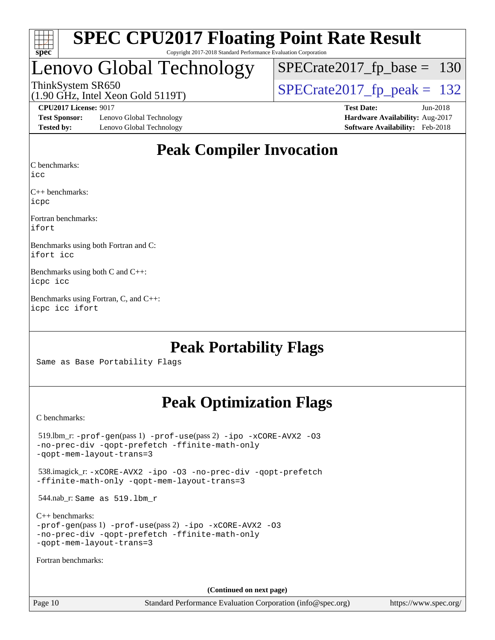| S<br>e<br>U<br>U |  |  |  |  |  |  |
|------------------|--|--|--|--|--|--|

# Lenovo Global Technology

[SPECrate2017\\_fp\\_base =](http://www.spec.org/auto/cpu2017/Docs/result-fields.html#SPECrate2017fpbase) 130

(1.90 GHz, Intel Xeon Gold 5119T) ThinkSystem SR650<br>(1.90 GHz, Intel Xeon Gold 5119T) [SPECrate2017\\_fp\\_peak =](http://www.spec.org/auto/cpu2017/Docs/result-fields.html#SPECrate2017fppeak) 132

**[Test Sponsor:](http://www.spec.org/auto/cpu2017/Docs/result-fields.html#TestSponsor)** Lenovo Global Technology **[Hardware Availability:](http://www.spec.org/auto/cpu2017/Docs/result-fields.html#HardwareAvailability)** Aug-2017 **[Tested by:](http://www.spec.org/auto/cpu2017/Docs/result-fields.html#Testedby)** Lenovo Global Technology **[Software Availability:](http://www.spec.org/auto/cpu2017/Docs/result-fields.html#SoftwareAvailability)** Feb-2018

**[CPU2017 License:](http://www.spec.org/auto/cpu2017/Docs/result-fields.html#CPU2017License)** 9017 **[Test Date:](http://www.spec.org/auto/cpu2017/Docs/result-fields.html#TestDate)** Jun-2018

### **[Peak Compiler Invocation](http://www.spec.org/auto/cpu2017/Docs/result-fields.html#PeakCompilerInvocation)**

[C benchmarks](http://www.spec.org/auto/cpu2017/Docs/result-fields.html#Cbenchmarks):

[icc](http://www.spec.org/cpu2017/results/res2018q2/cpu2017-20180612-06898.flags.html#user_CCpeak_intel_icc_18.0_66fc1ee009f7361af1fbd72ca7dcefbb700085f36577c54f309893dd4ec40d12360134090235512931783d35fd58c0460139e722d5067c5574d8eaf2b3e37e92)

[C++ benchmarks:](http://www.spec.org/auto/cpu2017/Docs/result-fields.html#CXXbenchmarks) [icpc](http://www.spec.org/cpu2017/results/res2018q2/cpu2017-20180612-06898.flags.html#user_CXXpeak_intel_icpc_18.0_c510b6838c7f56d33e37e94d029a35b4a7bccf4766a728ee175e80a419847e808290a9b78be685c44ab727ea267ec2f070ec5dc83b407c0218cded6866a35d07)

[Fortran benchmarks](http://www.spec.org/auto/cpu2017/Docs/result-fields.html#Fortranbenchmarks): [ifort](http://www.spec.org/cpu2017/results/res2018q2/cpu2017-20180612-06898.flags.html#user_FCpeak_intel_ifort_18.0_8111460550e3ca792625aed983ce982f94888b8b503583aa7ba2b8303487b4d8a21a13e7191a45c5fd58ff318f48f9492884d4413fa793fd88dd292cad7027ca)

[Benchmarks using both Fortran and C](http://www.spec.org/auto/cpu2017/Docs/result-fields.html#BenchmarksusingbothFortranandC): [ifort](http://www.spec.org/cpu2017/results/res2018q2/cpu2017-20180612-06898.flags.html#user_CC_FCpeak_intel_ifort_18.0_8111460550e3ca792625aed983ce982f94888b8b503583aa7ba2b8303487b4d8a21a13e7191a45c5fd58ff318f48f9492884d4413fa793fd88dd292cad7027ca) [icc](http://www.spec.org/cpu2017/results/res2018q2/cpu2017-20180612-06898.flags.html#user_CC_FCpeak_intel_icc_18.0_66fc1ee009f7361af1fbd72ca7dcefbb700085f36577c54f309893dd4ec40d12360134090235512931783d35fd58c0460139e722d5067c5574d8eaf2b3e37e92)

[Benchmarks using both C and C++:](http://www.spec.org/auto/cpu2017/Docs/result-fields.html#BenchmarksusingbothCandCXX) [icpc](http://www.spec.org/cpu2017/results/res2018q2/cpu2017-20180612-06898.flags.html#user_CC_CXXpeak_intel_icpc_18.0_c510b6838c7f56d33e37e94d029a35b4a7bccf4766a728ee175e80a419847e808290a9b78be685c44ab727ea267ec2f070ec5dc83b407c0218cded6866a35d07) [icc](http://www.spec.org/cpu2017/results/res2018q2/cpu2017-20180612-06898.flags.html#user_CC_CXXpeak_intel_icc_18.0_66fc1ee009f7361af1fbd72ca7dcefbb700085f36577c54f309893dd4ec40d12360134090235512931783d35fd58c0460139e722d5067c5574d8eaf2b3e37e92)

[Benchmarks using Fortran, C, and C++](http://www.spec.org/auto/cpu2017/Docs/result-fields.html#BenchmarksusingFortranCandCXX): [icpc](http://www.spec.org/cpu2017/results/res2018q2/cpu2017-20180612-06898.flags.html#user_CC_CXX_FCpeak_intel_icpc_18.0_c510b6838c7f56d33e37e94d029a35b4a7bccf4766a728ee175e80a419847e808290a9b78be685c44ab727ea267ec2f070ec5dc83b407c0218cded6866a35d07) [icc](http://www.spec.org/cpu2017/results/res2018q2/cpu2017-20180612-06898.flags.html#user_CC_CXX_FCpeak_intel_icc_18.0_66fc1ee009f7361af1fbd72ca7dcefbb700085f36577c54f309893dd4ec40d12360134090235512931783d35fd58c0460139e722d5067c5574d8eaf2b3e37e92) [ifort](http://www.spec.org/cpu2017/results/res2018q2/cpu2017-20180612-06898.flags.html#user_CC_CXX_FCpeak_intel_ifort_18.0_8111460550e3ca792625aed983ce982f94888b8b503583aa7ba2b8303487b4d8a21a13e7191a45c5fd58ff318f48f9492884d4413fa793fd88dd292cad7027ca)

### **[Peak Portability Flags](http://www.spec.org/auto/cpu2017/Docs/result-fields.html#PeakPortabilityFlags)**

Same as Base Portability Flags

### **[Peak Optimization Flags](http://www.spec.org/auto/cpu2017/Docs/result-fields.html#PeakOptimizationFlags)**

[C benchmarks](http://www.spec.org/auto/cpu2017/Docs/result-fields.html#Cbenchmarks):

 519.lbm\_r: [-prof-gen](http://www.spec.org/cpu2017/results/res2018q2/cpu2017-20180612-06898.flags.html#user_peakPASS1_CFLAGSPASS1_LDFLAGS519_lbm_r_prof_gen_5aa4926d6013ddb2a31985c654b3eb18169fc0c6952a63635c234f711e6e63dd76e94ad52365559451ec499a2cdb89e4dc58ba4c67ef54ca681ffbe1461d6b36)(pass 1) [-prof-use](http://www.spec.org/cpu2017/results/res2018q2/cpu2017-20180612-06898.flags.html#user_peakPASS2_CFLAGSPASS2_LDFLAGS519_lbm_r_prof_use_1a21ceae95f36a2b53c25747139a6c16ca95bd9def2a207b4f0849963b97e94f5260e30a0c64f4bb623698870e679ca08317ef8150905d41bd88c6f78df73f19)(pass 2) [-ipo](http://www.spec.org/cpu2017/results/res2018q2/cpu2017-20180612-06898.flags.html#user_peakPASS1_COPTIMIZEPASS2_COPTIMIZE519_lbm_r_f-ipo) [-xCORE-AVX2](http://www.spec.org/cpu2017/results/res2018q2/cpu2017-20180612-06898.flags.html#user_peakPASS2_COPTIMIZE519_lbm_r_f-xCORE-AVX2) [-O3](http://www.spec.org/cpu2017/results/res2018q2/cpu2017-20180612-06898.flags.html#user_peakPASS1_COPTIMIZEPASS2_COPTIMIZE519_lbm_r_f-O3) [-no-prec-div](http://www.spec.org/cpu2017/results/res2018q2/cpu2017-20180612-06898.flags.html#user_peakPASS1_COPTIMIZEPASS2_COPTIMIZE519_lbm_r_f-no-prec-div) [-qopt-prefetch](http://www.spec.org/cpu2017/results/res2018q2/cpu2017-20180612-06898.flags.html#user_peakPASS1_COPTIMIZEPASS2_COPTIMIZE519_lbm_r_f-qopt-prefetch) [-ffinite-math-only](http://www.spec.org/cpu2017/results/res2018q2/cpu2017-20180612-06898.flags.html#user_peakPASS1_COPTIMIZEPASS2_COPTIMIZE519_lbm_r_f_finite_math_only_cb91587bd2077682c4b38af759c288ed7c732db004271a9512da14a4f8007909a5f1427ecbf1a0fb78ff2a814402c6114ac565ca162485bbcae155b5e4258871) [-qopt-mem-layout-trans=3](http://www.spec.org/cpu2017/results/res2018q2/cpu2017-20180612-06898.flags.html#user_peakPASS1_COPTIMIZEPASS2_COPTIMIZE519_lbm_r_f-qopt-mem-layout-trans_de80db37974c74b1f0e20d883f0b675c88c3b01e9d123adea9b28688d64333345fb62bc4a798493513fdb68f60282f9a726aa07f478b2f7113531aecce732043) 538.imagick\_r: [-xCORE-AVX2](http://www.spec.org/cpu2017/results/res2018q2/cpu2017-20180612-06898.flags.html#user_peakCOPTIMIZE538_imagick_r_f-xCORE-AVX2) [-ipo](http://www.spec.org/cpu2017/results/res2018q2/cpu2017-20180612-06898.flags.html#user_peakCOPTIMIZE538_imagick_r_f-ipo) [-O3](http://www.spec.org/cpu2017/results/res2018q2/cpu2017-20180612-06898.flags.html#user_peakCOPTIMIZE538_imagick_r_f-O3) [-no-prec-div](http://www.spec.org/cpu2017/results/res2018q2/cpu2017-20180612-06898.flags.html#user_peakCOPTIMIZE538_imagick_r_f-no-prec-div) [-qopt-prefetch](http://www.spec.org/cpu2017/results/res2018q2/cpu2017-20180612-06898.flags.html#user_peakCOPTIMIZE538_imagick_r_f-qopt-prefetch) [-ffinite-math-only](http://www.spec.org/cpu2017/results/res2018q2/cpu2017-20180612-06898.flags.html#user_peakCOPTIMIZE538_imagick_r_f_finite_math_only_cb91587bd2077682c4b38af759c288ed7c732db004271a9512da14a4f8007909a5f1427ecbf1a0fb78ff2a814402c6114ac565ca162485bbcae155b5e4258871) [-qopt-mem-layout-trans=3](http://www.spec.org/cpu2017/results/res2018q2/cpu2017-20180612-06898.flags.html#user_peakCOPTIMIZE538_imagick_r_f-qopt-mem-layout-trans_de80db37974c74b1f0e20d883f0b675c88c3b01e9d123adea9b28688d64333345fb62bc4a798493513fdb68f60282f9a726aa07f478b2f7113531aecce732043) 544.nab\_r: Same as 519.lbm\_r [C++ benchmarks:](http://www.spec.org/auto/cpu2017/Docs/result-fields.html#CXXbenchmarks) [-prof-gen](http://www.spec.org/cpu2017/results/res2018q2/cpu2017-20180612-06898.flags.html#user_CXXpeak_prof_gen_5aa4926d6013ddb2a31985c654b3eb18169fc0c6952a63635c234f711e6e63dd76e94ad52365559451ec499a2cdb89e4dc58ba4c67ef54ca681ffbe1461d6b36)(pass 1) [-prof-use](http://www.spec.org/cpu2017/results/res2018q2/cpu2017-20180612-06898.flags.html#user_CXXpeak_prof_use_1a21ceae95f36a2b53c25747139a6c16ca95bd9def2a207b4f0849963b97e94f5260e30a0c64f4bb623698870e679ca08317ef8150905d41bd88c6f78df73f19)(pass 2) [-ipo](http://www.spec.org/cpu2017/results/res2018q2/cpu2017-20180612-06898.flags.html#user_CXXpeak_f-ipo) [-xCORE-AVX2](http://www.spec.org/cpu2017/results/res2018q2/cpu2017-20180612-06898.flags.html#user_CXXpeak_f-xCORE-AVX2) [-O3](http://www.spec.org/cpu2017/results/res2018q2/cpu2017-20180612-06898.flags.html#user_CXXpeak_f-O3) [-no-prec-div](http://www.spec.org/cpu2017/results/res2018q2/cpu2017-20180612-06898.flags.html#user_CXXpeak_f-no-prec-div) [-qopt-prefetch](http://www.spec.org/cpu2017/results/res2018q2/cpu2017-20180612-06898.flags.html#user_CXXpeak_f-qopt-prefetch) [-ffinite-math-only](http://www.spec.org/cpu2017/results/res2018q2/cpu2017-20180612-06898.flags.html#user_CXXpeak_f_finite_math_only_cb91587bd2077682c4b38af759c288ed7c732db004271a9512da14a4f8007909a5f1427ecbf1a0fb78ff2a814402c6114ac565ca162485bbcae155b5e4258871) [-qopt-mem-layout-trans=3](http://www.spec.org/cpu2017/results/res2018q2/cpu2017-20180612-06898.flags.html#user_CXXpeak_f-qopt-mem-layout-trans_de80db37974c74b1f0e20d883f0b675c88c3b01e9d123adea9b28688d64333345fb62bc4a798493513fdb68f60282f9a726aa07f478b2f7113531aecce732043) [Fortran benchmarks](http://www.spec.org/auto/cpu2017/Docs/result-fields.html#Fortranbenchmarks): **(Continued on next page)**

Page 10 Standard Performance Evaluation Corporation [\(info@spec.org\)](mailto:info@spec.org) <https://www.spec.org/>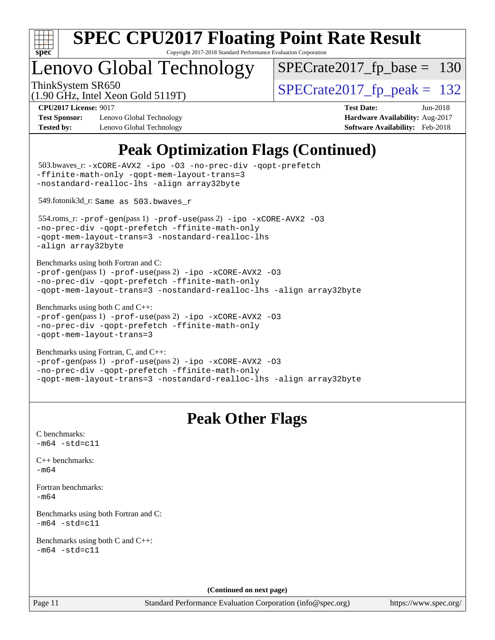

Copyright 2017-2018 Standard Performance Evaluation Corporation

## Lenovo Global Technology

[SPECrate2017\\_fp\\_base =](http://www.spec.org/auto/cpu2017/Docs/result-fields.html#SPECrate2017fpbase) 130

(1.90 GHz, Intel Xeon Gold 5119T)

ThinkSystem SR650<br>(1.90 GHz, Intel Year Gold 5119T)  $SPECTate2017$  [p\_peak = 132

**[Test Sponsor:](http://www.spec.org/auto/cpu2017/Docs/result-fields.html#TestSponsor)** Lenovo Global Technology **[Hardware Availability:](http://www.spec.org/auto/cpu2017/Docs/result-fields.html#HardwareAvailability)** Aug-2017 **[Tested by:](http://www.spec.org/auto/cpu2017/Docs/result-fields.html#Testedby)** Lenovo Global Technology **[Software Availability:](http://www.spec.org/auto/cpu2017/Docs/result-fields.html#SoftwareAvailability)** Feb-2018

**[CPU2017 License:](http://www.spec.org/auto/cpu2017/Docs/result-fields.html#CPU2017License)** 9017 **[Test Date:](http://www.spec.org/auto/cpu2017/Docs/result-fields.html#TestDate)** Jun-2018

## **[Peak Optimization Flags \(Continued\)](http://www.spec.org/auto/cpu2017/Docs/result-fields.html#PeakOptimizationFlags)**

```
(info@spec.org)https://www.spec.org/
  503.bwaves_r: -xCORE-AVX2 -ipo -O3 -no-prec-div -qopt-prefetch
-ffinite-math-only -qopt-mem-layout-trans=3
-nostandard-realloc-lhs -align array32byte
  549.fotonik3d_r: Same as 503.bwaves_r
  554.roms_r: -prof-gen(pass 1) -prof-use(pass 2) -ipo -xCORE-AVX2 -O3
-no-prec-div -qopt-prefetch -ffinite-math-only
-qopt-mem-layout-trans=3 -nostandard-realloc-lhs
-align array32byte
Benchmarks using both Fortran and C: 
-prof-gen(pass 1) -prof-use(pass 2) -ipo -xCORE-AVX2 -O3
-no-prec-div -qopt-prefetch -ffinite-math-only
-qopt-mem-layout-trans=3 -nostandard-realloc-lhs -align array32byte
Benchmarks using both C and C++: 
-prof-gen(pass 1) -prof-use(pass 2) -ipo -xCORE-AVX2 -O3
-no-prec-div -qopt-prefetch -ffinite-math-only
-qopt-mem-layout-trans=3
Benchmarks using Fortran, C, and C++: 
-prof-gen(pass 1) -prof-use(pass 2) -ipo -xCORE-AVX2 -O3
-no-prec-div -qopt-prefetch -ffinite-math-only
-qopt-mem-layout-trans=3 -nostandard-realloc-lhs -align array32byte
                                 Peak Other Flags
C benchmarks: 
-m64 - std= c11C++ benchmarks: 
-m64Fortran benchmarks: 
-m64
Benchmarks using both Fortran and C: 
-m64 - std= c11Benchmarks using both C and C++: 
-m64 - std= c11(Continued on next page)
```